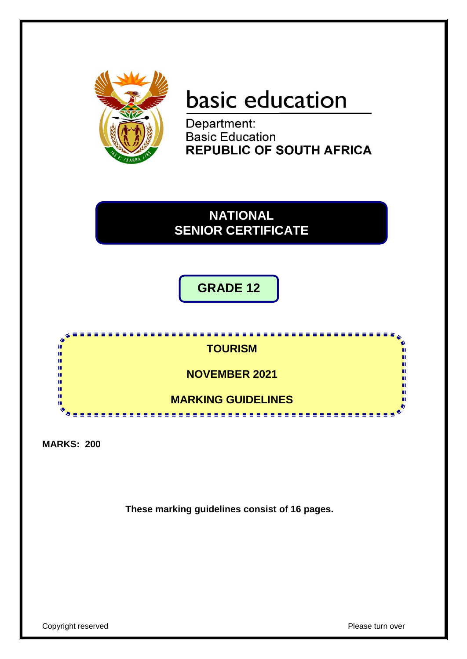

# basic education

Department: **Basic Education REPUBLIC OF SOUTH AFRICA** 

## **NATIONAL SENIOR CERTIFICATE**

**GRADE 12**



**MARKS: 200**

**These marking guidelines consist of 16 pages.**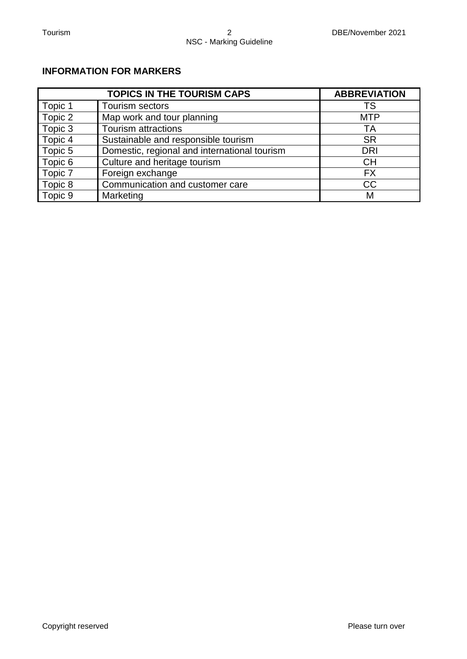#### **INFORMATION FOR MARKERS**

|         | <b>TOPICS IN THE TOURISM CAPS</b>            | <b>ABBREVIATION</b> |
|---------|----------------------------------------------|---------------------|
| Topic 1 | <b>Tourism sectors</b>                       | TS                  |
| Topic 2 | Map work and tour planning                   | <b>MTP</b>          |
| Topic 3 | <b>Tourism attractions</b>                   | ТA                  |
| Topic 4 | Sustainable and responsible tourism          | <b>SR</b>           |
| Topic 5 | Domestic, regional and international tourism | <b>DRI</b>          |
| Topic 6 | Culture and heritage tourism                 | <b>CH</b>           |
| Topic 7 | Foreign exchange                             | <b>FX</b>           |
| Topic 8 | Communication and customer care              | <b>CC</b>           |
| Topic 9 | Marketing                                    | M                   |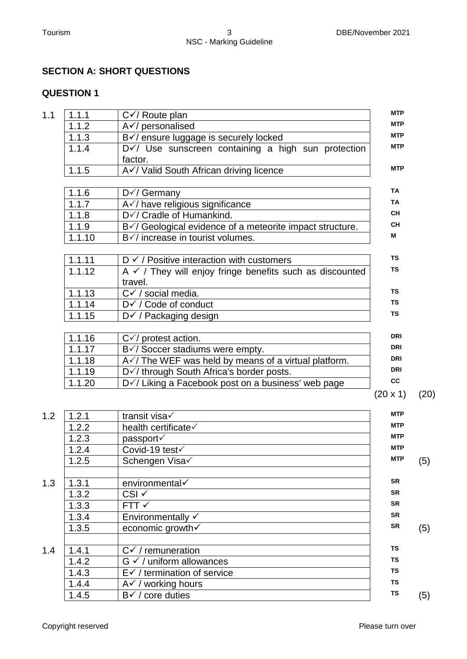#### **SECTION A: SHORT QUESTIONS**

| 1.1 | 1.1.1               | $C\checkmark$ Route plan                                       | <b>MTP</b> |      |
|-----|---------------------|----------------------------------------------------------------|------------|------|
|     | 1.1.2               | A√/ personalised                                               | <b>MTP</b> |      |
|     | 1.1.3               | B√/ ensure luggage is securely locked                          | <b>MTP</b> |      |
|     | 1.1.4               | D V/ Use sunscreen containing a high sun protection<br>factor. | <b>MTP</b> |      |
|     | 1.1.5               | AV/Valid South African driving licence                         | <b>MTP</b> |      |
|     | 1.1.6               | $D\checkmark$ Germany                                          | <b>TA</b>  |      |
|     | 1.1.7               | A v/ have religious significance                               | <b>TA</b>  |      |
|     | 1.1.8               | D√/ Cradle of Humankind.                                       | <b>CH</b>  |      |
|     | 1.1.9               | B√/ Geological evidence of a meteorite impact structure.       | <b>CH</b>  |      |
|     | 1.1.10              | B√/ increase in tourist volumes.                               | м          |      |
|     | 1.1.11              | $D \checkmark$ / Positive interaction with customers           | <b>TS</b>  |      |
|     | 1.1.12              | $A \vee$ / They will enjoy fringe benefits such as discounted  | <b>TS</b>  |      |
|     |                     | travel.                                                        |            |      |
|     | 1.1.13              | $C\checkmark$ / social media.                                  | <b>TS</b>  |      |
|     | 1.1.14              | D√ / Code of conduct                                           | <b>TS</b>  |      |
|     | 1.1.15              | D i / Packaging design                                         | <b>TS</b>  |      |
|     | 1.1.16              | $C\checkmark$ protest action.                                  | <b>DRI</b> |      |
|     | $\overline{1}.1.17$ | $\overline{B\sqrt{}}$ Soccer stadiums were empty.              | <b>DRI</b> |      |
|     | 1.1.18              | $A\checkmark$ The WEF was held by means of a virtual platform. | <b>DRI</b> |      |
|     | 1.1.19              | D V / through South Africa's border posts.                     | <b>DRI</b> |      |
|     | 1.1.20              | D V / Liking a Facebook post on a business' web page           | cc         |      |
|     |                     |                                                                | (20 x 1)   | (20) |
| 1.2 | 1.2.1               | transit visa                                                   | <b>MTP</b> |      |
|     | 1.2.2               | health certificate                                             | <b>MTP</b> |      |
|     | 1.2.3               | passport√                                                      | <b>MTP</b> |      |
|     | 124                 | $Covid$ -19 test $\checkmark$                                  | <b>MTP</b> |      |

|     | 1.2.3 | passport√                              | MTP        |     |
|-----|-------|----------------------------------------|------------|-----|
|     | 1.2.4 | Covid-19 test√                         | <b>MTP</b> |     |
|     | 1.2.5 | Schengen Visa√                         | <b>MTP</b> | (5) |
| 1.3 | 1.3.1 | environmental√                         | <b>SR</b>  |     |
|     | 1.3.2 | CSI √                                  | <b>SR</b>  |     |
|     | 1.3.3 | FTT <                                  | <b>SR</b>  |     |
|     | 1.3.4 | Environmentally $\checkmark$           | <b>SR</b>  |     |
|     | 1.3.5 | economic growth√                       | <b>SR</b>  | (5) |
| 1.4 | 1.4.1 | $C\checkmark$ / remuneration           | <b>TS</b>  |     |
|     | 1.4.2 | $G \checkmark$ / uniform allowances    | <b>TS</b>  |     |
|     | 1.4.3 | $E\checkmark$ / termination of service | <b>TS</b>  |     |
|     | 1.4.4 | A√ / working hours                     | <b>TS</b>  |     |
|     | 1.4.5 | core duties<br>$B\checkmark$ /         | <b>TS</b>  | (5) |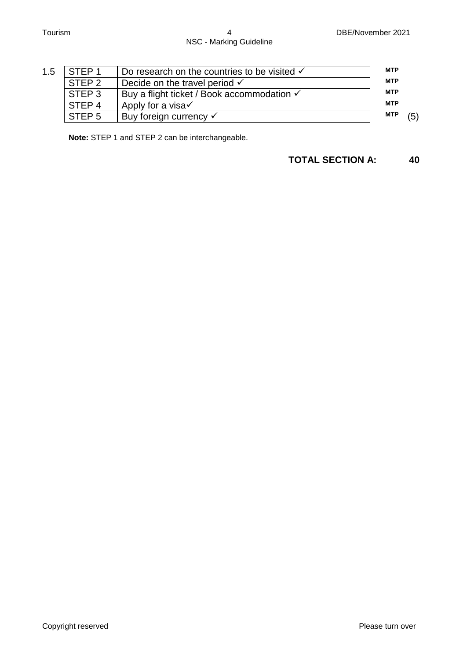| 1.5 | STEP <sub>1</sub> | Do research on the countries to be visited $\checkmark$ | <b>MTP</b> |     |
|-----|-------------------|---------------------------------------------------------|------------|-----|
|     | STEP <sub>2</sub> | Decide on the travel period $\checkmark$                | <b>MTP</b> |     |
|     | STEP <sub>3</sub> | Buy a flight ticket / Book accommodation √              | <b>MTP</b> |     |
|     | STEP <sub>4</sub> | Apply for a visa√                                       | <b>MTP</b> |     |
|     | STEP <sub>5</sub> | Buy foreign currency √                                  | <b>MTP</b> | (5) |
|     |                   |                                                         |            |     |

**Note:** STEP 1 and STEP 2 can be interchangeable.

**TOTAL SECTION A: 40**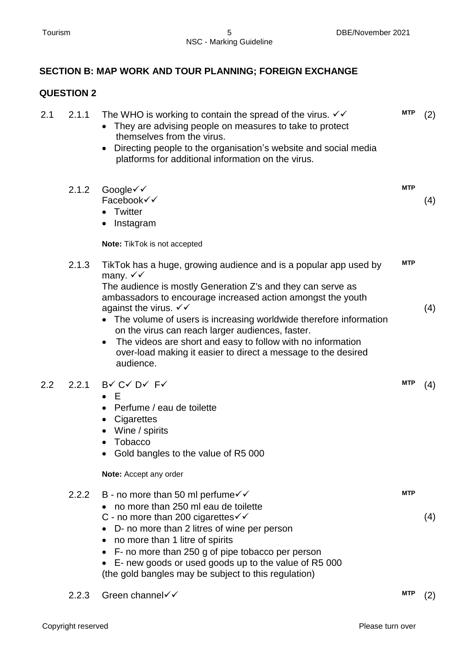### **SECTION B: MAP WORK AND TOUR PLANNING; FOREIGN EXCHANGE**

| 2.1 | 2.1.1 | The WHO is working to contain the spread of the virus. $\checkmark\checkmark$<br>They are advising people on measures to take to protect<br>themselves from the virus.<br>Directing people to the organisation's website and social media<br>platforms for additional information on the virus.                                                                                                                                                                                                                                                     | <b>MTP</b> | (2) |
|-----|-------|-----------------------------------------------------------------------------------------------------------------------------------------------------------------------------------------------------------------------------------------------------------------------------------------------------------------------------------------------------------------------------------------------------------------------------------------------------------------------------------------------------------------------------------------------------|------------|-----|
|     | 2.1.2 | Google√√<br>Facebook√√<br>Twitter<br>$\bullet$<br>Instagram<br>$\bullet$                                                                                                                                                                                                                                                                                                                                                                                                                                                                            | <b>MTP</b> | (4) |
|     | 2.1.3 | Note: TikTok is not accepted                                                                                                                                                                                                                                                                                                                                                                                                                                                                                                                        | <b>MTP</b> |     |
|     |       | TikTok has a huge, growing audience and is a popular app used by<br>many. $\checkmark\checkmark$<br>The audience is mostly Generation Z's and they can serve as<br>ambassadors to encourage increased action amongst the youth<br>against the virus. $\checkmark\checkmark$<br>• The volume of users is increasing worldwide therefore information<br>on the virus can reach larger audiences, faster.<br>The videos are short and easy to follow with no information<br>over-load making it easier to direct a message to the desired<br>audience. |            | (4) |
| 2.2 | 2.2.1 | BV CV DV FV<br>$\bullet$ E<br>Perfume / eau de toilette<br>Cigarettes<br>$\bullet$<br>Wine / spirits<br>Tobacco<br>Gold bangles to the value of R5 000                                                                                                                                                                                                                                                                                                                                                                                              | <b>MTP</b> | (4) |
|     |       | Note: Accept any order                                                                                                                                                                                                                                                                                                                                                                                                                                                                                                                              |            |     |
|     | 2.2.2 | B - no more than 50 ml perfume $\checkmark$<br>no more than 250 ml eau de toilette<br>C - no more than 200 cigarettes $\checkmark\checkmark$<br>• D- no more than 2 litres of wine per person<br>• no more than 1 litre of spirits<br>• F- no more than 250 g of pipe tobacco per person<br>• E- new goods or used goods up to the value of R5 000<br>(the gold bangles may be subject to this regulation)                                                                                                                                          | <b>MTP</b> | (4) |
|     | 2.2.3 | Green channel <del>V</del>                                                                                                                                                                                                                                                                                                                                                                                                                                                                                                                          | MTP        | (2) |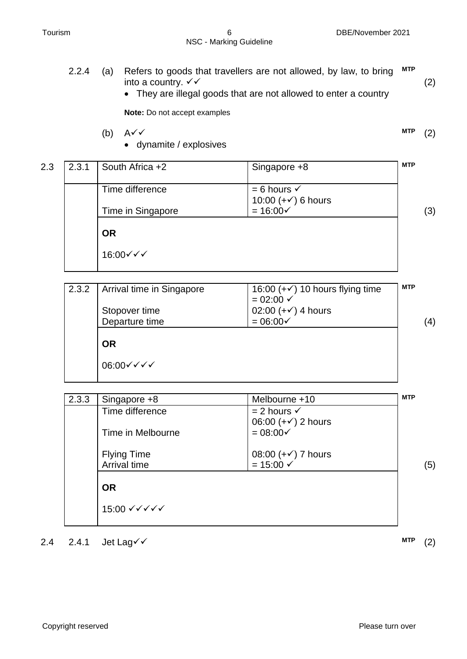**MTP** (2)

#### 2.2.4 (a) Refers to goods that travellers are not allowed, by law, to bring into a country.  $\checkmark\checkmark$ **MTP** (2)

They are illegal goods that are not allowed to enter a country

**Note:** Do not accept examples

- (b)  $A \checkmark$ 
	- dynamite / explosives

| 2.3 | 2.3.1 | South Africa +2   | Singapore +8                                          | <b>MTP</b> |
|-----|-------|-------------------|-------------------------------------------------------|------------|
|     |       | Time difference   | $= 6$ hours $\checkmark$                              |            |
|     |       | Time in Singapore | 10:00 $(+\checkmark)$ 6 hours<br>$= 16:00 \checkmark$ | (3)        |
|     |       | <b>OR</b>         |                                                       |            |
|     |       | 16:00√√√          |                                                       |            |

| 2.3.2 | Arrival time in Singapore | 16:00 $(+\checkmark)$ 10 hours flying time<br>$= 02:00 \checkmark$ | <b>MTP</b> |
|-------|---------------------------|--------------------------------------------------------------------|------------|
|       | Stopover time             | 02:00 $(+\checkmark)$ 4 hours                                      |            |
|       | Departure time            | $= 06:00 \times$                                                   | (4)        |
|       | <b>OR</b>                 |                                                                    |            |
|       | 06:00√√√√                 |                                                                    |            |
|       |                           |                                                                    |            |

| 2.3.3 | Singapore +8                            | Melbourne +10                                         | <b>MTP</b> |
|-------|-----------------------------------------|-------------------------------------------------------|------------|
|       | Time difference                         | $= 2$ hours $\checkmark$                              |            |
|       |                                         | 06:00 $(+\checkmark)$ 2 hours                         |            |
|       | Time in Melbourne                       | $= 08:00 \checkmark$                                  |            |
|       |                                         |                                                       |            |
|       | <b>Flying Time</b><br>Arrival time      | $08:00 (+\checkmark)$ 7 hours<br>$= 15:00 \checkmark$ |            |
|       |                                         |                                                       | (5)        |
|       | <b>OR</b>                               |                                                       |            |
|       |                                         |                                                       |            |
|       | 15:00 $\checkmark$ √ $\checkmark$ √ √ √ |                                                       |            |
|       |                                         |                                                       |            |

2.4 2.4.1 Jet Lag **V**  $\checkmark$  (2)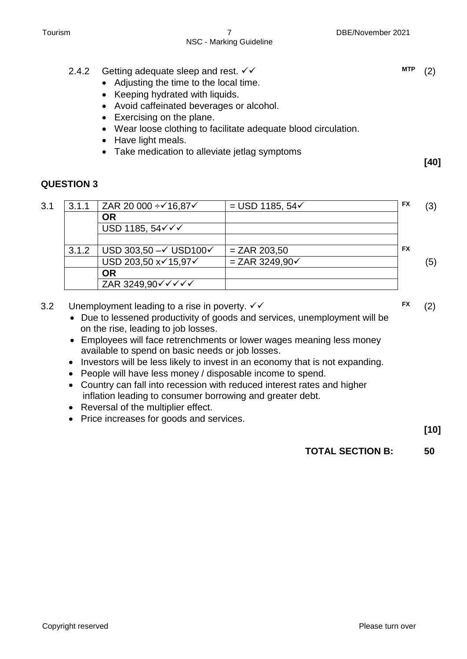**[40]**

**FX** (2)

**[10]**

#### 2.4.2 Getting adequate sleep and rest.  $\checkmark\checkmark$

- Adjusting the time to the local time.
- Keeping hydrated with liquids.
- Avoid caffeinated beverages or alcohol.
- Exercising on the plane.
- Wear loose clothing to facilitate adequate blood circulation.
- Have light meals.
- Take medication to alleviate jetlag symptoms

#### **QUESTION 3**

| 3.1 | 3.1.1 | ZAR 20 000 ÷√16,87√                                             | $=$ USD 1185, 54 $\checkmark$ | <b>FX</b> | (3) |
|-----|-------|-----------------------------------------------------------------|-------------------------------|-----------|-----|
|     |       | <b>OR</b>                                                       |                               |           |     |
|     |       | USD 1185, 54 $\checkmark\checkmark$                             |                               |           |     |
|     |       |                                                                 |                               |           |     |
|     | 3.1.2 | USD 303,50 $-\checkmark$ USD100 $\checkmark$                    | $= ZAR 203,50$                | <b>FX</b> |     |
|     |       | USD 203,50 x√15,97√                                             | $= ZAR 3249,90 \checkmark$    |           | (5) |
|     |       | <b>OR</b>                                                       |                               |           |     |
|     |       | ZAR 3249,90 $\checkmark$ $\checkmark$ $\checkmark$ $\checkmark$ |                               |           |     |

- 3.2 Unemployment leading to a rise in poverty.  $\checkmark\checkmark$ 
	- Due to lessened productivity of goods and services, unemployment will be on the rise, leading to job losses.
	- Employees will face retrenchments or lower wages meaning less money available to spend on basic needs or job losses.
	- Investors will be less likely to invest in an economy that is not expanding.
	- People will have less money / disposable income to spend.
	- Country can fall into recession with reduced interest rates and higher inflation leading to consumer borrowing and greater debt.
	- Reversal of the multiplier effect.
	- Price increases for goods and services.

#### **TOTAL SECTION B: 50**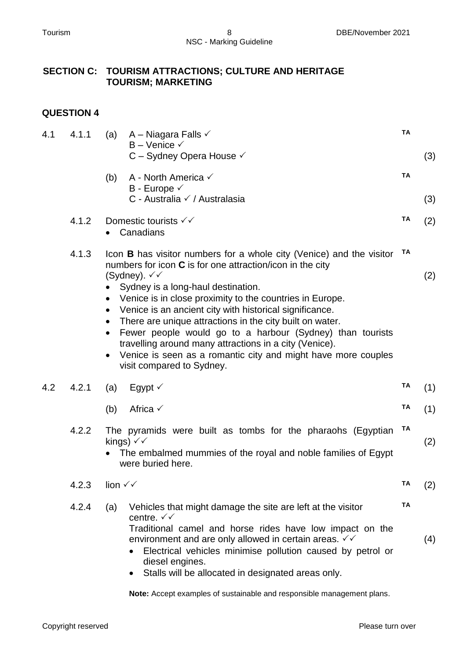#### **SECTION C: TOURISM ATTRACTIONS; CULTURE AND HERITAGE TOURISM; MARKETING**

#### **QUESTION 4**

| 4.1 | 4.1.1 | A – Niagara Falls $\checkmark$<br>(a)<br>$B -$ Venice $\checkmark$                                                                                                                                                                                                                                                                                                                                                                                                                                                                                                                                                                             | <b>TA</b> |            |
|-----|-------|------------------------------------------------------------------------------------------------------------------------------------------------------------------------------------------------------------------------------------------------------------------------------------------------------------------------------------------------------------------------------------------------------------------------------------------------------------------------------------------------------------------------------------------------------------------------------------------------------------------------------------------------|-----------|------------|
|     |       | C - Sydney Opera House √<br>(b)<br>A - North America $\checkmark$<br>B - Europe $\checkmark$<br>C - Australia √ / Australasia                                                                                                                                                                                                                                                                                                                                                                                                                                                                                                                  | <b>TA</b> | (3)<br>(3) |
|     | 4.1.2 | Domestic tourists $\checkmark\checkmark$<br>Canadians                                                                                                                                                                                                                                                                                                                                                                                                                                                                                                                                                                                          | TA        | (2)        |
|     | 4.1.3 | Icon <b>B</b> has visitor numbers for a whole city (Venice) and the visitor<br>numbers for icon $C$ is for one attraction/icon in the city<br>(Sydney). $\checkmark$<br>Sydney is a long-haul destination.<br>• Venice is in close proximity to the countries in Europe.<br>Venice is an ancient city with historical significance.<br>There are unique attractions in the city built on water.<br>$\bullet$<br>Fewer people would go to a harbour (Sydney) than tourists<br>$\bullet$<br>travelling around many attractions in a city (Venice).<br>Venice is seen as a romantic city and might have more couples<br>visit compared to Sydney. | TA        | (2)        |
| 4.2 | 4.2.1 | Egypt $\checkmark$<br>(a)                                                                                                                                                                                                                                                                                                                                                                                                                                                                                                                                                                                                                      | ΤA        | (1)        |
|     |       | Africa $\checkmark$<br>(b)                                                                                                                                                                                                                                                                                                                                                                                                                                                                                                                                                                                                                     | TA        | (1)        |
|     | 4.2.2 | The pyramids were built as tombs for the pharaohs (Egyptian<br>kings) $\checkmark\checkmark$<br>The embalmed mummies of the royal and noble families of Egypt<br>were buried here.                                                                                                                                                                                                                                                                                                                                                                                                                                                             | TA        | (2)        |
|     | 4.2.3 | lion $\checkmark\checkmark$                                                                                                                                                                                                                                                                                                                                                                                                                                                                                                                                                                                                                    | TA        | (2)        |
|     | 4.2.4 | Vehicles that might damage the site are left at the visitor<br>(a)<br>centre. $\checkmark\checkmark$<br>Traditional camel and horse rides have low impact on the<br>environment and are only allowed in certain areas. $\checkmark\checkmark$<br>Electrical vehicles minimise pollution caused by petrol or<br>diesel engines.<br>Stalls will be allocated in designated areas only.                                                                                                                                                                                                                                                           | TA        | (4)        |

**Note:** Accept examples of sustainable and responsible management plans.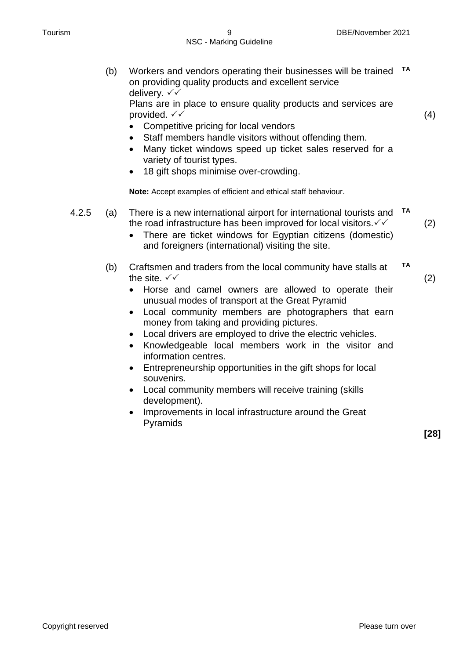(b) Workers and vendors operating their businesses will be trained **TA** on providing quality products and excellent service delivery.  $∨ √$ 

Plans are in place to ensure quality products and services are provided.  $\checkmark\checkmark$ 

(4)

- Competitive pricing for local vendors
- Staff members handle visitors without offending them.
- Many ticket windows speed up ticket sales reserved for a variety of tourist types.
- 18 gift shops minimise over-crowding.

**Note:** Accept examples of efficient and ethical staff behaviour.

- 4.2.5 (a) There is a new international airport for international tourists and **TA** the road infrastructure has been improved for local visitors. $\checkmark\checkmark$ 
	- There are ticket windows for Egyptian citizens (domestic) and foreigners (international) visiting the site.
	- (b) Craftsmen and traders from the local community have stalls at the site.  $\sqrt{\sqrt{}}$ **TA**
		- (2)

(2)

- Horse and camel owners are allowed to operate their unusual modes of transport at the Great Pyramid
- Local community members are photographers that earn money from taking and providing pictures.
- Local drivers are employed to drive the electric vehicles.
- Knowledgeable local members work in the visitor and information centres.
- Entrepreneurship opportunities in the gift shops for local souvenirs.
- Local community members will receive training (skills development).
- Improvements in local infrastructure around the Great Pyramids

**[28]**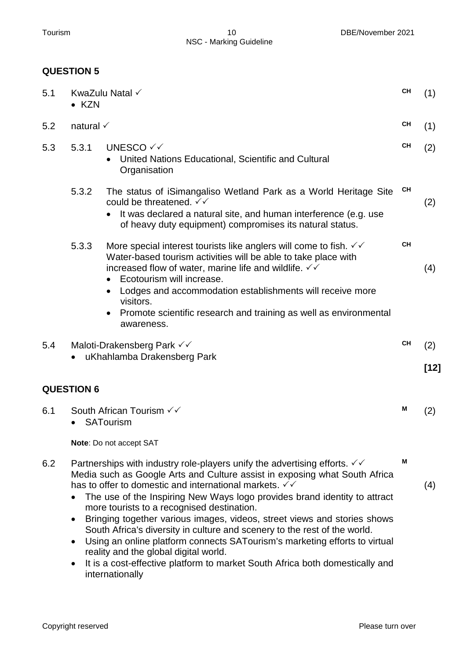| 5.1 | $\bullet$ KZN        | KwaZulu Natal √                                                                                                                                                                                                                                                   | <b>CH</b> | (1)  |
|-----|----------------------|-------------------------------------------------------------------------------------------------------------------------------------------------------------------------------------------------------------------------------------------------------------------|-----------|------|
| 5.2 | natural $\checkmark$ |                                                                                                                                                                                                                                                                   | <b>CH</b> | (1)  |
| 5.3 | 5.3.1                | UNESCO √ √<br>United Nations Educational, Scientific and Cultural<br>Organisation                                                                                                                                                                                 | CН        | (2)  |
|     | 5.3.2                | The status of iSimangaliso Wetland Park as a World Heritage Site<br>could be threatened. $\checkmark\checkmark$<br>It was declared a natural site, and human interference (e.g. use<br>of heavy duty equipment) compromises its natural status.                   | <b>CH</b> | (2)  |
|     | 5.3.3                | More special interest tourists like anglers will come to fish. $\checkmark\checkmark$<br>Water-based tourism activities will be able to take place with<br>increased flow of water, marine life and wildlife. $\checkmark\checkmark$<br>Ecotourism will increase. | <b>CH</b> | (4)  |
|     |                      | Lodges and accommodation establishments will receive more<br>visitors.<br>Promote scientific research and training as well as environmental<br>awareness.                                                                                                         |           |      |
| 5.4 |                      | Maloti-Drakensberg Park √√                                                                                                                                                                                                                                        | СH        | (2)  |
|     |                      | uKhahlamba Drakensberg Park                                                                                                                                                                                                                                       |           | [12] |
|     | <b>QUESTION 6</b>    |                                                                                                                                                                                                                                                                   |           |      |
| 6.1 |                      | South African Tourism √ V<br><b>SATourism</b>                                                                                                                                                                                                                     | Μ         | (2)  |
|     |                      | Note: Do not accept SAT                                                                                                                                                                                                                                           |           |      |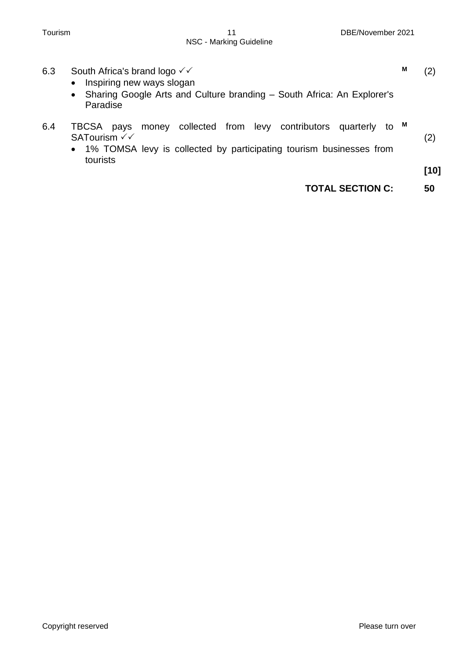| 6.3 | South Africa's brand logo $\checkmark\checkmark$<br>Inspiring new ways slogan<br>$\bullet$                                                                                              | M | $\left( 2\right)$ |
|-----|-----------------------------------------------------------------------------------------------------------------------------------------------------------------------------------------|---|-------------------|
|     | Sharing Google Arts and Culture branding – South Africa: An Explorer's<br>$\bullet$<br>Paradise                                                                                         |   |                   |
| 6.4 | money collected from levy contributors quarterly<br>TBCSA<br>pays<br>to<br>SATourism √√<br>1% TOMSA levy is collected by participating tourism businesses from<br>$\bullet$<br>tourists | M | (2)               |
|     |                                                                                                                                                                                         |   | $[10]$            |
|     | <b>TOTAL SECTION C:</b>                                                                                                                                                                 |   | 50                |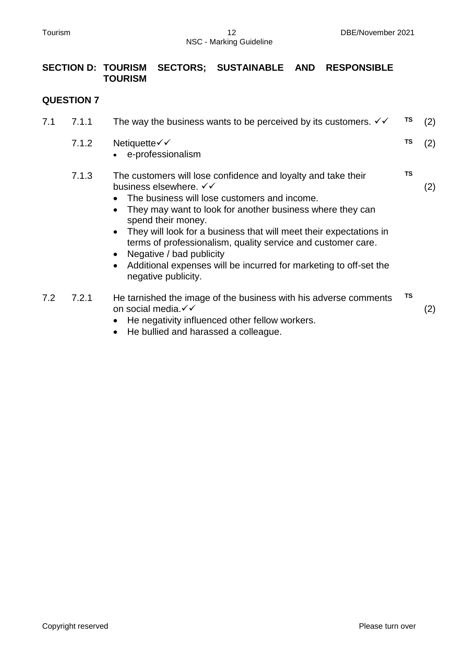#### **SECTION D: TOURISM SECTORS; SUSTAINABLE AND RESPONSIBLE TOURISM**

| 7.1 | 7.1.1 | The way the business wants to be perceived by its customers. $\checkmark\checkmark$                                                                                                                                                                                                                                                                                                                                                                                                                                       | TS        | (2) |
|-----|-------|---------------------------------------------------------------------------------------------------------------------------------------------------------------------------------------------------------------------------------------------------------------------------------------------------------------------------------------------------------------------------------------------------------------------------------------------------------------------------------------------------------------------------|-----------|-----|
|     | 7.1.2 | Netiquette√√<br>e-professionalism                                                                                                                                                                                                                                                                                                                                                                                                                                                                                         | TS        | (2) |
|     | 7.1.3 | The customers will lose confidence and loyalty and take their<br>business elsewhere. $\checkmark\checkmark$<br>The business will lose customers and income.<br>They may want to look for another business where they can<br>spend their money.<br>They will look for a business that will meet their expectations in<br>$\bullet$<br>terms of professionalism, quality service and customer care.<br>Negative / bad publicity<br>Additional expenses will be incurred for marketing to off-set the<br>negative publicity. | <b>TS</b> | (2) |
| 7.2 | 7.2.1 | He tarnished the image of the business with his adverse comments<br>on social media. V V<br>He negativity influenced other fellow workers.<br>He bullied and harassed a colleague.                                                                                                                                                                                                                                                                                                                                        | <b>TS</b> | (2) |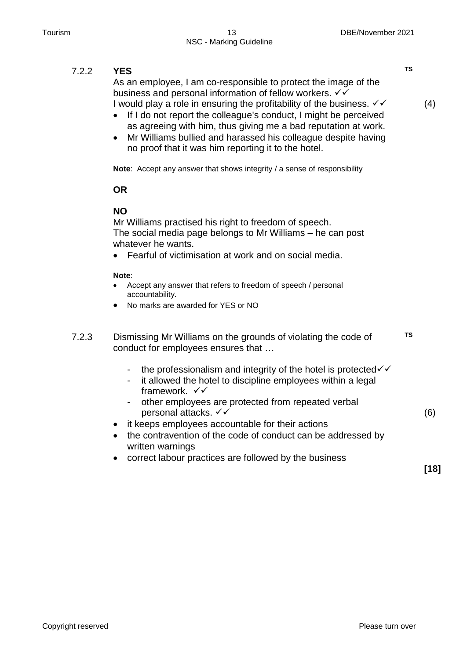#### 7.2.2 **YES** As an employee, I am co-responsible to protect the image of the business and personal information of fellow workers.  $\checkmark\checkmark$ I would play a role in ensuring the profitability of the business.  $\checkmark\checkmark$ • If I do not report the colleague's conduct, I might be perceived as agreeing with him, thus giving me a bad reputation at work. Mr Williams bullied and harassed his colleague despite having no proof that it was him reporting it to the hotel. **Note**: Accept any answer that shows integrity / a sense of responsibility **OR NO** Mr Williams practised his right to freedom of speech. The social media page belongs to Mr Williams – he can post whatever he wants. Fearful of victimisation at work and on social media. **Note**: Accept any answer that refers to freedom of speech / personal accountability. No marks are awarded for YES or NO **TS** (4) 7.2.3 Dismissing Mr Williams on the grounds of violating the code of conduct for employees ensures that … - the professionalism and integrity of the hotel is protected  $\checkmark$ - it allowed the hotel to discipline employees within a legal framework.  $\checkmark$ other employees are protected from repeated verbal personal attacks.  $∨$ • it keeps employees accountable for their actions the contravention of the code of conduct can be addressed by written warnings correct labour practices are followed by the business **TS** (6) **[18]**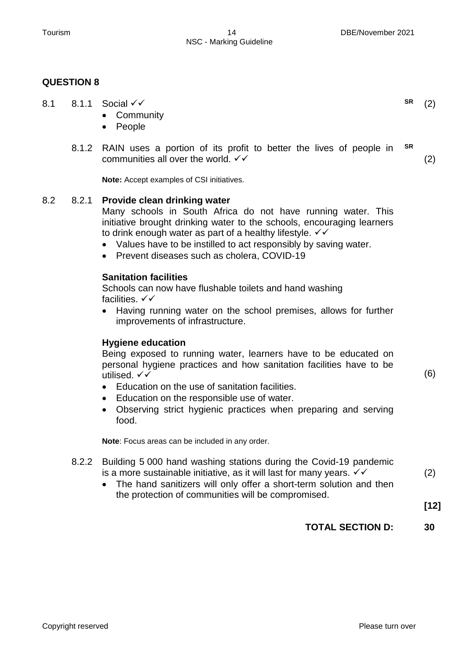#### **QUESTION 8**

8.1 8.1.1 Social <del>V</del> • Community • People **SR** (2) 8.1.2 RAIN uses a portion of its profit to better the lives of people in communities all over the world.  $\checkmark\checkmark$ **Note:** Accept examples of CSI initiatives. **SR** (2) Many schools in South Africa do not have running water. This initiative brought drinking water to the schools, encouraging learners to drink enough water as part of a healthy lifestyle.  $\checkmark\checkmark$  Values have to be instilled to act responsibly by saving water. • Prevent diseases such as cholera, COVID-19 **Sanitation facilities** Schools can now have flushable toilets and hand washing facilities.  $\checkmark\checkmark$ • Having running water on the school premises, allows for further improvements of infrastructure. **Hygiene education** Being exposed to running water, learners have to be educated on personal hygiene practices and how sanitation facilities have to be utilised.  $\checkmark\checkmark$  Education on the use of sanitation facilities. Education on the responsible use of water. Observing strict hygienic practices when preparing and serving food. **Note**: Focus areas can be included in any order. (6) 8.2.2 Building 5 000 hand washing stations during the Covid-19 pandemic is a more sustainable initiative, as it will last for many years.  $\checkmark\checkmark$ (2)

• The hand sanitizers will only offer a short-term solution and then the protection of communities will be compromised.

**[12]**

#### **TOTAL SECTION D: 30**

#### 8.2 8.2.1 **Provide clean drinking water**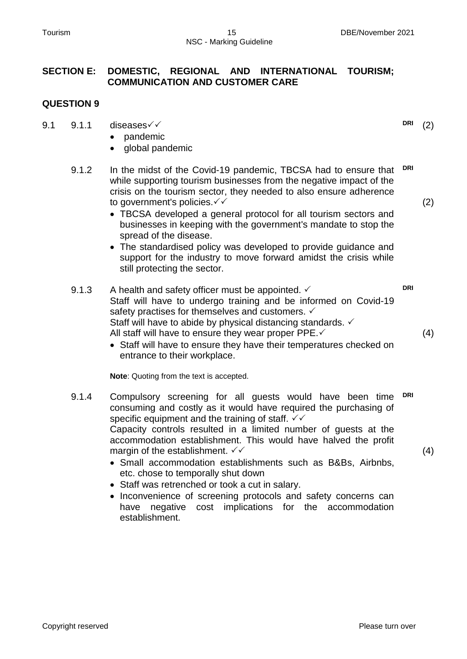#### **SECTION E: DOMESTIC, REGIONAL AND INTERNATIONAL TOURISM; COMMUNICATION AND CUSTOMER CARE**

#### **QUESTION 9**

- 9.1 9.1.1 diseases $\sqrt{6}$ 
	- pandemic
	- global pandemic
	- 9.1.2 In the midst of the Covid-19 pandemic, TBCSA had to ensure that while supporting tourism businesses from the negative impact of the crisis on the tourism sector, they needed to also ensure adherence to government's policies. **DRI**
		- TBCSA developed a general protocol for all tourism sectors and businesses in keeping with the government's mandate to stop the spread of the disease.
		- The standardised policy was developed to provide guidance and support for the industry to move forward amidst the crisis while still protecting the sector.
	- 9.1.3 A health and safety officer must be appointed.  $\checkmark$ Staff will have to undergo training and be informed on Covid-19 safety practises for themselves and customers.  $\checkmark$ Staff will have to abide by physical distancing standards.  $\checkmark$ All staff will have to ensure they wear proper PPE. **DRI**
		- Staff will have to ensure they have their temperatures checked on entrance to their workplace.

**Note**: Quoting from the text is accepted.

- 9.1.4 Compulsory screening for all guests would have been time consuming and costly as it would have required the purchasing of specific equipment and the training of staff.  $\checkmark\checkmark$ Capacity controls resulted in a limited number of guests at the accommodation establishment. This would have halved the profit margin of the establishment.  $\checkmark\checkmark$ **DRI**
	- Small accommodation establishments such as B&Bs, Airbnbs, etc. chose to temporally shut down
	- Staff was retrenched or took a cut in salary.
	- Inconvenience of screening protocols and safety concerns can have negative cost implications for the accommodation establishment.

**DRI** (2)

(2)

(4)

(4)